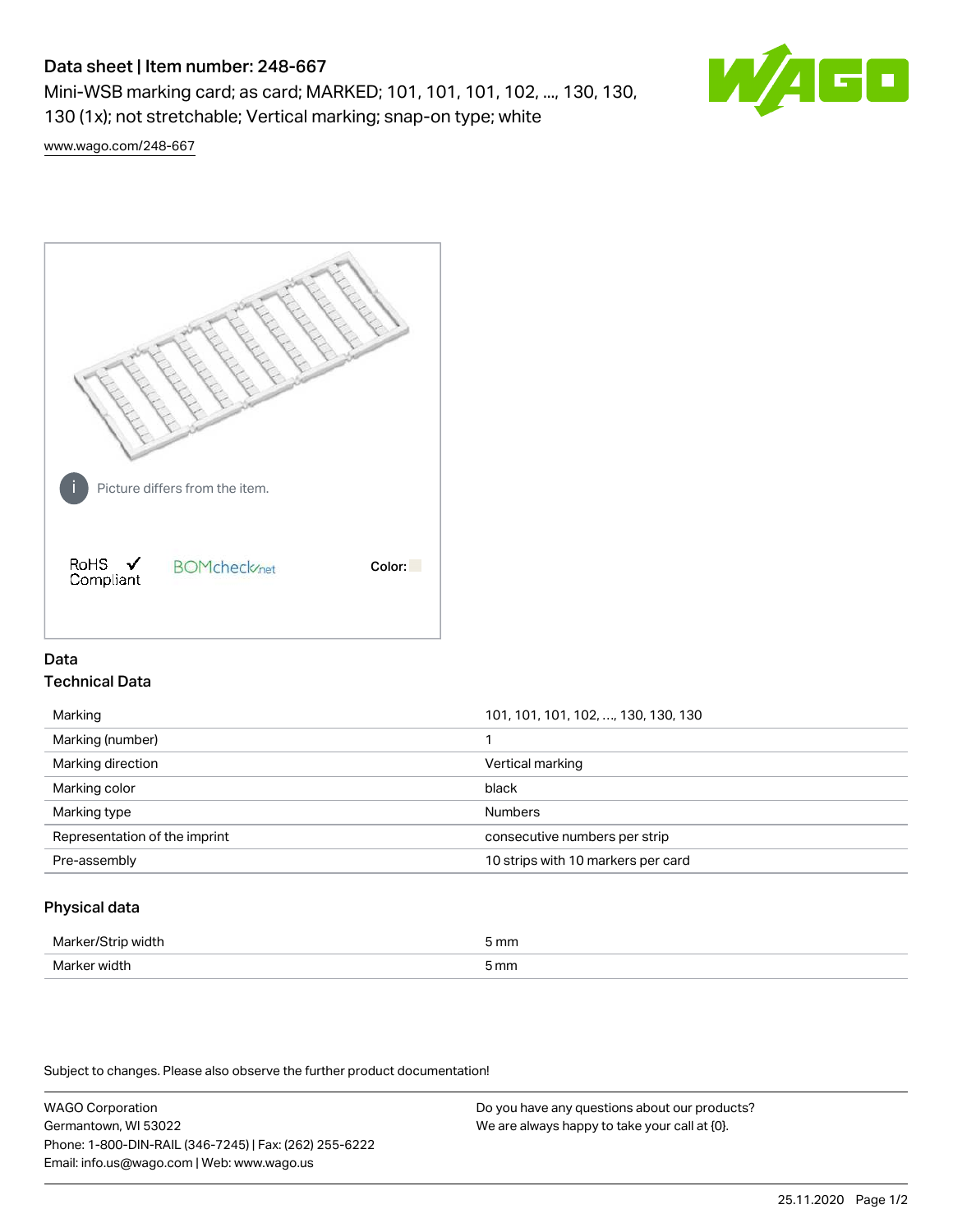# Data sheet | Item number: 248-667

Mini-WSB marking card; as card; MARKED; 101, 101, 101, 102, ..., 130, 130, 130 (1x); not stretchable; Vertical marking; snap-on type; white



[www.wago.com/248-667](http://www.wago.com/248-667)



## Data Technical Data

| Marking (number)                                               | Marking           | 101, 101, 101, 102, , 130, 130, 130 |
|----------------------------------------------------------------|-------------------|-------------------------------------|
|                                                                |                   |                                     |
|                                                                | Marking direction | Vertical marking                    |
| black<br>Marking color                                         |                   |                                     |
| <b>Numbers</b><br>Marking type                                 |                   |                                     |
| Representation of the imprint<br>consecutive numbers per strip |                   |                                     |
| 10 strips with 10 markers per card<br>Pre-assembly             |                   |                                     |

## Physical data

| Mai<br>н | 5 mm |
|----------|------|
| ندا\ا    | mm   |
| VK 11.   | .    |
|          |      |

Subject to changes. Please also observe the further product documentation!

WAGO Corporation Germantown, WI 53022 Phone: 1-800-DIN-RAIL (346-7245) | Fax: (262) 255-6222 Email: info.us@wago.com | Web: www.wago.us Do you have any questions about our products? We are always happy to take your call at {0}.